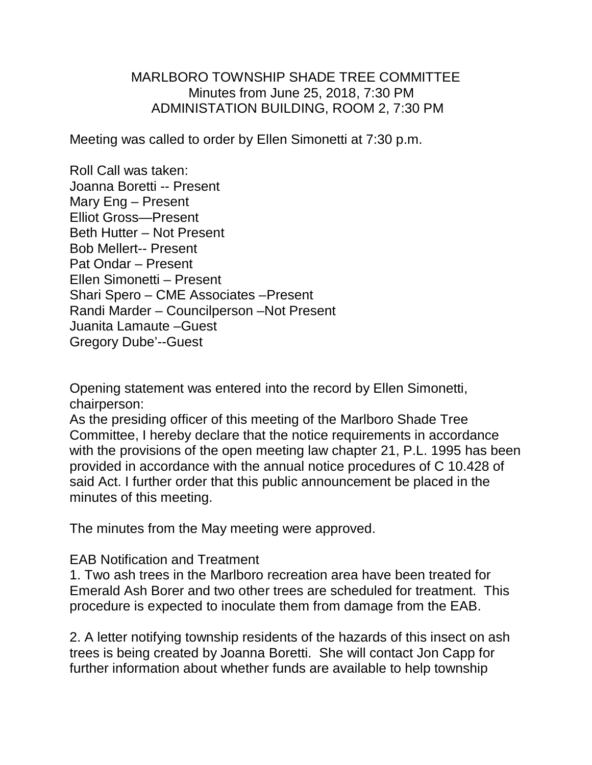## MARLBORO TOWNSHIP SHADE TREE COMMITTEE Minutes from June 25, 2018, 7:30 PM ADMINISTATION BUILDING, ROOM 2, 7:30 PM

Meeting was called to order by Ellen Simonetti at 7:30 p.m.

Roll Call was taken: Joanna Boretti -- Present Mary Eng – Present Elliot Gross—Present Beth Hutter – Not Present Bob Mellert-- Present Pat Ondar – Present Ellen Simonetti – Present Shari Spero – CME Associates –Present Randi Marder – Councilperson –Not Present Juanita Lamaute –Guest Gregory Dube'--Guest

Opening statement was entered into the record by Ellen Simonetti, chairperson:

As the presiding officer of this meeting of the Marlboro Shade Tree Committee, I hereby declare that the notice requirements in accordance with the provisions of the open meeting law chapter 21, P.L. 1995 has been provided in accordance with the annual notice procedures of C 10.428 of said Act. I further order that this public announcement be placed in the minutes of this meeting.

The minutes from the May meeting were approved.

## EAB Notification and Treatment

1. Two ash trees in the Marlboro recreation area have been treated for Emerald Ash Borer and two other trees are scheduled for treatment. This procedure is expected to inoculate them from damage from the EAB.

2. A letter notifying township residents of the hazards of this insect on ash trees is being created by Joanna Boretti. She will contact Jon Capp for further information about whether funds are available to help township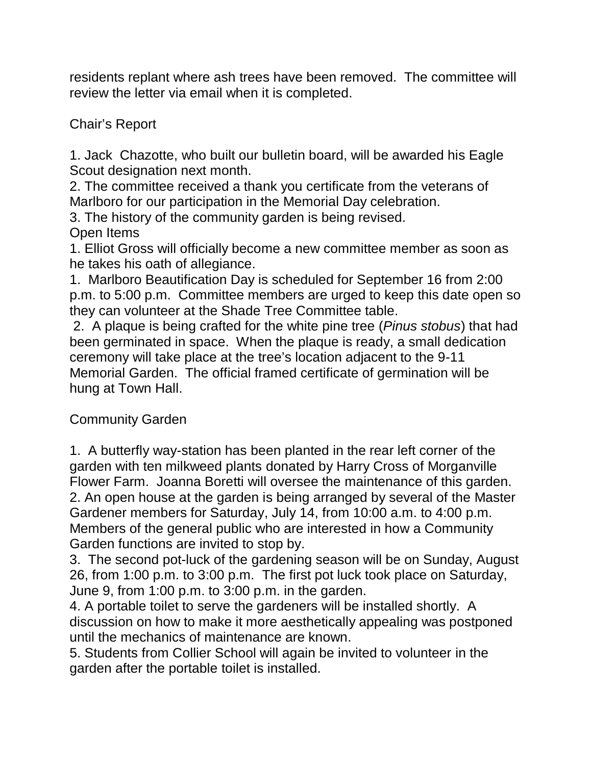residents replant where ash trees have been removed. The committee will review the letter via email when it is completed.

Chair's Report

1. Jack Chazotte, who built our bulletin board, will be awarded his Eagle Scout designation next month.

2. The committee received a thank you certificate from the veterans of Marlboro for our participation in the Memorial Day celebration.

3. The history of the community garden is being revised.

Open Items

1. Elliot Gross will officially become a new committee member as soon as he takes his oath of allegiance.

1. Marlboro Beautification Day is scheduled for September 16 from 2:00 p.m. to 5:00 p.m. Committee members are urged to keep this date open so they can volunteer at the Shade Tree Committee table.

2. A plaque is being crafted for the white pine tree (*Pinus stobus*) that had been germinated in space. When the plaque is ready, a small dedication ceremony will take place at the tree's location adjacent to the 9-11 Memorial Garden. The official framed certificate of germination will be hung at Town Hall.

Community Garden

1. A butterfly way-station has been planted in the rear left corner of the garden with ten milkweed plants donated by Harry Cross of Morganville Flower Farm. Joanna Boretti will oversee the maintenance of this garden. 2. An open house at the garden is being arranged by several of the Master Gardener members for Saturday, July 14, from 10:00 a.m. to 4:00 p.m. Members of the general public who are interested in how a Community Garden functions are invited to stop by.

3. The second pot-luck of the gardening season will be on Sunday, August 26, from 1:00 p.m. to 3:00 p.m. The first pot luck took place on Saturday, June 9, from 1:00 p.m. to 3:00 p.m. in the garden.

4. A portable toilet to serve the gardeners will be installed shortly. A discussion on how to make it more aesthetically appealing was postponed until the mechanics of maintenance are known.

5. Students from Collier School will again be invited to volunteer in the garden after the portable toilet is installed.